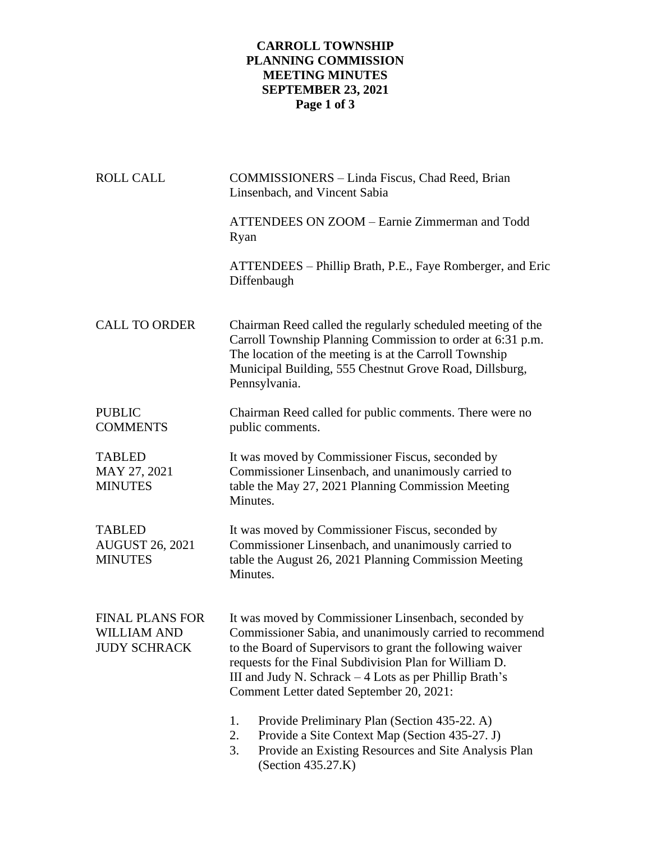## **CARROLL TOWNSHIP PLANNING COMMISSION MEETING MINUTES SEPTEMBER 23, 2021 Page 1 of 3**

| <b>ROLL CALL</b>                                                    | COMMISSIONERS - Linda Fiscus, Chad Reed, Brian<br>Linsenbach, and Vincent Sabia                                                                                                                                                                                                                                                                 |  |  |
|---------------------------------------------------------------------|-------------------------------------------------------------------------------------------------------------------------------------------------------------------------------------------------------------------------------------------------------------------------------------------------------------------------------------------------|--|--|
|                                                                     | ATTENDEES ON ZOOM - Earnie Zimmerman and Todd<br>Ryan                                                                                                                                                                                                                                                                                           |  |  |
|                                                                     | ATTENDEES – Phillip Brath, P.E., Faye Romberger, and Eric<br>Diffenbaugh                                                                                                                                                                                                                                                                        |  |  |
| <b>CALL TO ORDER</b>                                                | Chairman Reed called the regularly scheduled meeting of the<br>Carroll Township Planning Commission to order at 6:31 p.m.<br>The location of the meeting is at the Carroll Township<br>Municipal Building, 555 Chestnut Grove Road, Dillsburg,<br>Pennsylvania.                                                                                 |  |  |
| <b>PUBLIC</b><br><b>COMMENTS</b>                                    | Chairman Reed called for public comments. There were no<br>public comments.                                                                                                                                                                                                                                                                     |  |  |
| <b>TABLED</b><br>MAY 27, 2021<br><b>MINUTES</b>                     | It was moved by Commissioner Fiscus, seconded by<br>Commissioner Linsenbach, and unanimously carried to<br>table the May 27, 2021 Planning Commission Meeting<br>Minutes.                                                                                                                                                                       |  |  |
| <b>TABLED</b><br><b>AUGUST 26, 2021</b><br><b>MINUTES</b>           | It was moved by Commissioner Fiscus, seconded by<br>Commissioner Linsenbach, and unanimously carried to<br>table the August 26, 2021 Planning Commission Meeting<br>Minutes.                                                                                                                                                                    |  |  |
| <b>FINAL PLANS FOR</b><br><b>WILLIAM AND</b><br><b>JUDY SCHRACK</b> | It was moved by Commissioner Linsenbach, seconded by<br>Commissioner Sabia, and unanimously carried to recommend<br>to the Board of Supervisors to grant the following waiver<br>requests for the Final Subdivision Plan for William D.<br>III and Judy N. Schrack $-4$ Lots as per Phillip Brath's<br>Comment Letter dated September 20, 2021: |  |  |
|                                                                     | 1.<br>Provide Preliminary Plan (Section 435-22. A)<br>Provide a Site Context Map (Section 435-27. J)<br>2.<br>Provide an Existing Resources and Site Analysis Plan<br>3.<br>(Section 435.27.K)                                                                                                                                                  |  |  |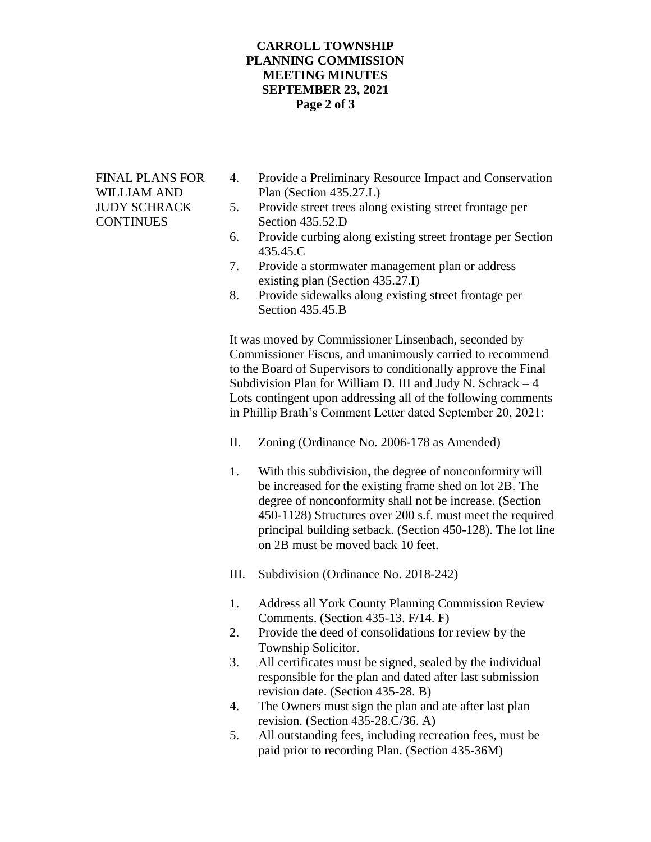## **CARROLL TOWNSHIP PLANNING COMMISSION MEETING MINUTES SEPTEMBER 23, 2021 Page 2 of 3**

- FINAL PLANS FOR 4. Provide a Preliminary Resource Impact and Conservation WILLIAM AND Plan (Section 435.27.L)
- JUDY SCHRACK 5. Provide street trees along existing street frontage per CONTINUES Section 435.52.D
	- 6. Provide curbing along existing street frontage per Section 435.45.C
	- 7. Provide a stormwater management plan or address existing plan (Section 435.27.I)
	- 8. Provide sidewalks along existing street frontage per Section 435.45.B

It was moved by Commissioner Linsenbach, seconded by Commissioner Fiscus, and unanimously carried to recommend to the Board of Supervisors to conditionally approve the Final Subdivision Plan for William D. III and Judy N. Schrack – 4 Lots contingent upon addressing all of the following comments in Phillip Brath's Comment Letter dated September 20, 2021:

- II. Zoning (Ordinance No. 2006-178 as Amended)
- 1. With this subdivision, the degree of nonconformity will be increased for the existing frame shed on lot 2B. The degree of nonconformity shall not be increase. (Section 450-1128) Structures over 200 s.f. must meet the required principal building setback. (Section 450-128). The lot line on 2B must be moved back 10 feet.
- III. Subdivision (Ordinance No. 2018-242)
- 1. Address all York County Planning Commission Review Comments. (Section 435-13. F/14. F)
- 2. Provide the deed of consolidations for review by the Township Solicitor.
- 3. All certificates must be signed, sealed by the individual responsible for the plan and dated after last submission revision date. (Section 435-28. B)
- 4. The Owners must sign the plan and ate after last plan revision. (Section 435-28.C/36. A)
- 5. All outstanding fees, including recreation fees, must be paid prior to recording Plan. (Section 435-36M)